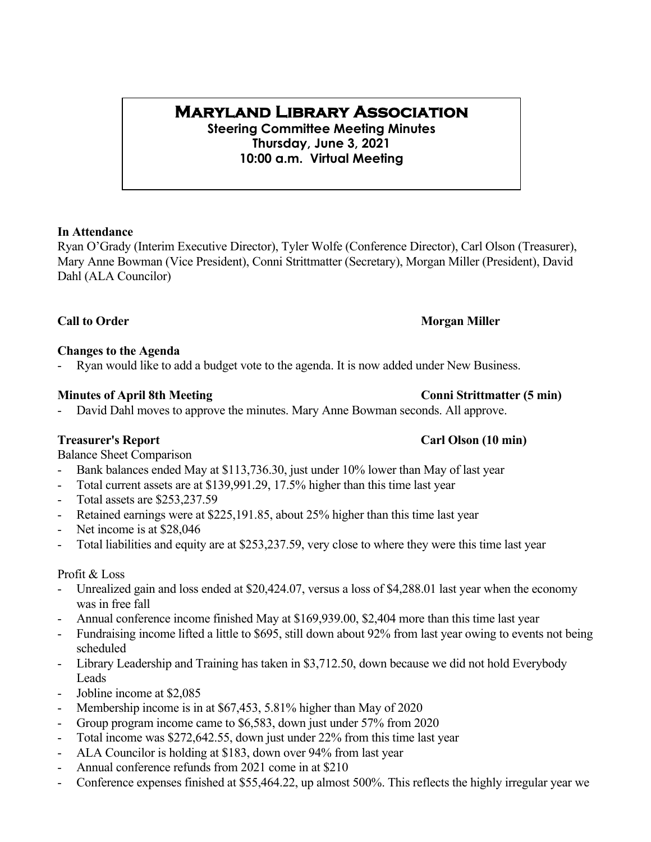# **Maryland Library Association**

**Steering Committee Meeting Minutes Thursday, June 3, 2021 10:00 a.m. Virtual Meeting**

### **In Attendance**

Ryan O'Grady (Interim Executive Director), Tyler Wolfe (Conference Director), Carl Olson (Treasurer), Mary Anne Bowman (Vice President), Conni Strittmatter (Secretary), Morgan Miller (President), David Dahl (ALA Councilor)

**Call to Order Morgan Miller** 

### **Changes to the Agenda**

Ryan would like to add a budget vote to the agenda. It is now added under New Business.

### **Minutes of April 8th Meeting Conni Strittmatter (5 min)**

David Dahl moves to approve the minutes. Mary Anne Bowman seconds. All approve.

Balance Sheet Comparison

- Bank balances ended May at \$113,736.30, just under 10% lower than May of last year
- Total current assets are at \$139,991.29, 17.5% higher than this time last year
- Total assets are \$253,237.59
- Retained earnings were at \$225,191.85, about 25% higher than this time last year
- Net income is at \$28,046
- Total liabilities and equity are at \$253,237.59, very close to where they were this time last year

### Profit & Loss

- Unrealized gain and loss ended at \$20,424.07, versus a loss of \$4,288.01 last year when the economy was in free fall
- Annual conference income finished May at \$169,939.00, \$2,404 more than this time last year
- Fundraising income lifted a little to \$695, still down about 92% from last year owing to events not being scheduled
- Library Leadership and Training has taken in \$3,712.50, down because we did not hold Everybody Leads
- Jobline income at \$2,085
- Membership income is in at \$67,453, 5.81% higher than May of 2020
- Group program income came to \$6,583, down just under 57% from 2020
- Total income was \$272,642.55, down just under 22% from this time last year
- ALA Councilor is holding at \$183, down over 94% from last year
- Annual conference refunds from 2021 come in at \$210
- Conference expenses finished at \$55,464.22, up almost 500%. This reflects the highly irregular year we

### **Treasurer's Report Carl Olson (10 min)**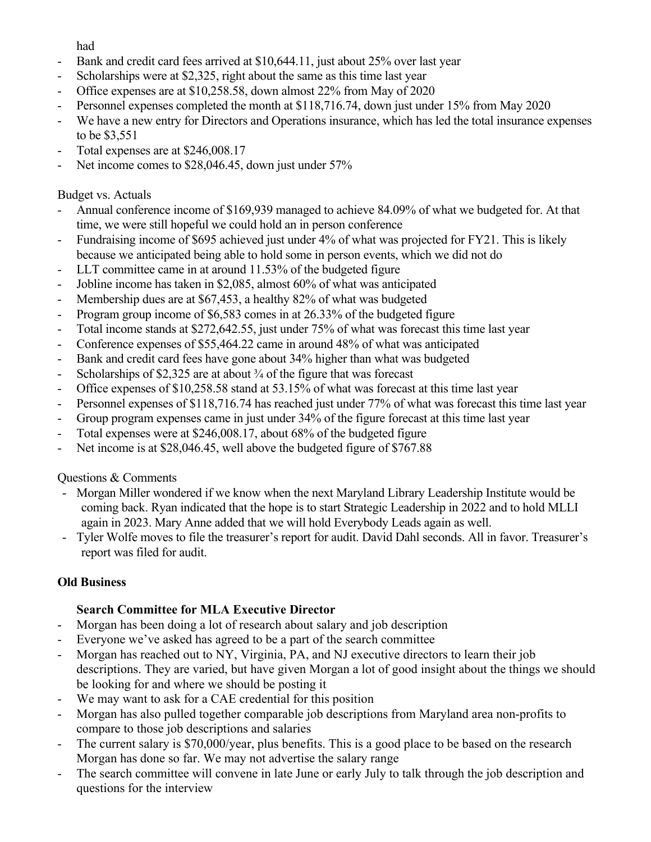had

- Bank and credit card fees arrived at \$10,644.11, just about 25% over last year
- Scholarships were at \$2,325, right about the same as this time last year
- Office expenses are at \$10,258.58, down almost 22% from May of 2020
- Personnel expenses completed the month at \$118,716.74, down just under 15% from May 2020
- We have a new entry for Directors and Operations insurance, which has led the total insurance expenses to be \$3,551
- Total expenses are at \$246,008.17
- Net income comes to \$28,046.45, down just under 57%

### Budget vs. Actuals

- Annual conference income of \$169,939 managed to achieve 84.09% of what we budgeted for. At that time, we were still hopeful we could hold an in person conference
- Fundraising income of \$695 achieved just under 4% of what was projected for FY21. This is likely because we anticipated being able to hold some in person events, which we did not do
- LLT committee came in at around 11.53% of the budgeted figure
- Jobline income has taken in \$2,085, almost 60% of what was anticipated
- Membership dues are at \$67,453, a healthy 82% of what was budgeted
- Program group income of \$6,583 comes in at 26.33% of the budgeted figure
- Total income stands at \$272,642.55, just under 75% of what was forecast this time last year
- Conference expenses of \$55,464.22 came in around 48% of what was anticipated
- Bank and credit card fees have gone about 34% higher than what was budgeted
- Scholarships of \$2,325 are at about  $\frac{3}{4}$  of the figure that was forecast
- Office expenses of \$10,258.58 stand at 53.15% of what was forecast at this time last year
- Personnel expenses of \$118,716.74 has reached just under 77% of what was forecast this time last year
- Group program expenses came in just under 34% of the figure forecast at this time last year
- Total expenses were at \$246,008.17, about 68% of the budgeted figure
- Net income is at \$28,046.45, well above the budgeted figure of \$767.88

### Questions & Comments

- Morgan Miller wondered if we know when the next Maryland Library Leadership Institute would be coming back. Ryan indicated that the hope is to start Strategic Leadership in 2022 and to hold MLLI again in 2023. Mary Anne added that we will hold Everybody Leads again as well.
- Tyler Wolfe moves to file the treasurer's report for audit. David Dahl seconds. All in favor. Treasurer's report was filed for audit.

# **Old Business**

# **Search Committee for MLA Executive Director**

- Morgan has been doing a lot of research about salary and job description
- Everyone we've asked has agreed to be a part of the search committee
- Morgan has reached out to NY, Virginia, PA, and NJ executive directors to learn their job descriptions. They are varied, but have given Morgan a lot of good insight about the things we should be looking for and where we should be posting it
- We may want to ask for a CAE credential for this position
- Morgan has also pulled together comparable job descriptions from Maryland area non-profits to compare to those job descriptions and salaries
- The current salary is \$70,000/year, plus benefits. This is a good place to be based on the research Morgan has done so far. We may not advertise the salary range
- The search committee will convene in late June or early July to talk through the job description and questions for the interview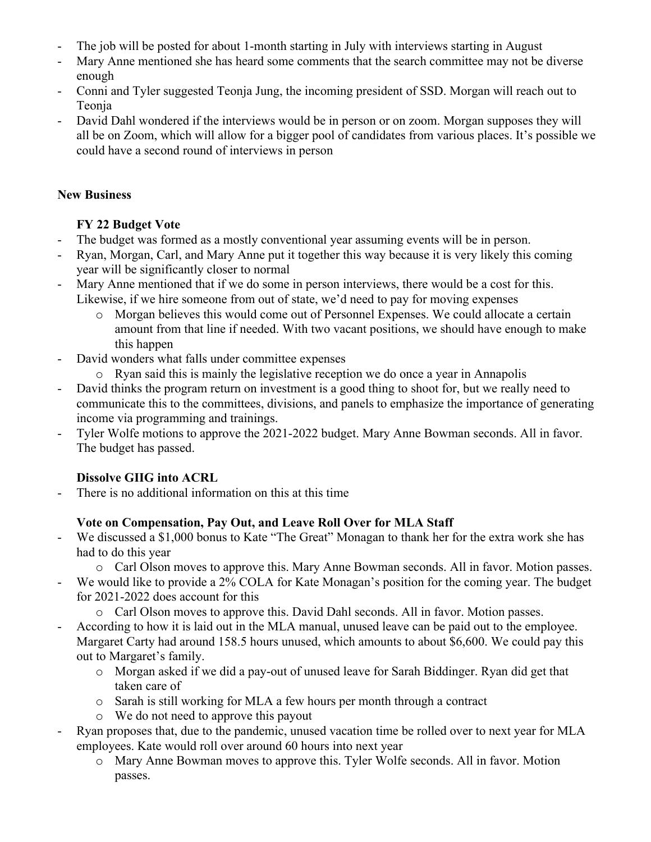- The job will be posted for about 1-month starting in July with interviews starting in August
- Mary Anne mentioned she has heard some comments that the search committee may not be diverse enough
- Conni and Tyler suggested Teonja Jung, the incoming president of SSD. Morgan will reach out to Teonja
- David Dahl wondered if the interviews would be in person or on zoom. Morgan supposes they will all be on Zoom, which will allow for a bigger pool of candidates from various places. It's possible we could have a second round of interviews in person

# **New Business**

# **FY 22 Budget Vote**

- The budget was formed as a mostly conventional year assuming events will be in person.
- Ryan, Morgan, Carl, and Mary Anne put it together this way because it is very likely this coming year will be significantly closer to normal
- Mary Anne mentioned that if we do some in person interviews, there would be a cost for this. Likewise, if we hire someone from out of state, we'd need to pay for moving expenses
	- o Morgan believes this would come out of Personnel Expenses. We could allocate a certain amount from that line if needed. With two vacant positions, we should have enough to make this happen
- David wonders what falls under committee expenses
	- o Ryan said this is mainly the legislative reception we do once a year in Annapolis
- David thinks the program return on investment is a good thing to shoot for, but we really need to communicate this to the committees, divisions, and panels to emphasize the importance of generating income via programming and trainings.
- Tyler Wolfe motions to approve the 2021-2022 budget. Mary Anne Bowman seconds. All in favor. The budget has passed.

# **Dissolve GIIG into ACRL**

There is no additional information on this at this time

# **Vote on Compensation, Pay Out, and Leave Roll Over for MLA Staff**

- We discussed a \$1,000 bonus to Kate "The Great" Monagan to thank her for the extra work she has had to do this year
	- o Carl Olson moves to approve this. Mary Anne Bowman seconds. All in favor. Motion passes.
- We would like to provide a 2% COLA for Kate Monagan's position for the coming year. The budget for 2021-2022 does account for this
	- o Carl Olson moves to approve this. David Dahl seconds. All in favor. Motion passes.
- According to how it is laid out in the MLA manual, unused leave can be paid out to the employee. Margaret Carty had around 158.5 hours unused, which amounts to about \$6,600. We could pay this out to Margaret's family.
	- o Morgan asked if we did a pay-out of unused leave for Sarah Biddinger. Ryan did get that taken care of
	- o Sarah is still working for MLA a few hours per month through a contract
	- o We do not need to approve this payout
- Ryan proposes that, due to the pandemic, unused vacation time be rolled over to next year for MLA employees. Kate would roll over around 60 hours into next year
	- o Mary Anne Bowman moves to approve this. Tyler Wolfe seconds. All in favor. Motion passes.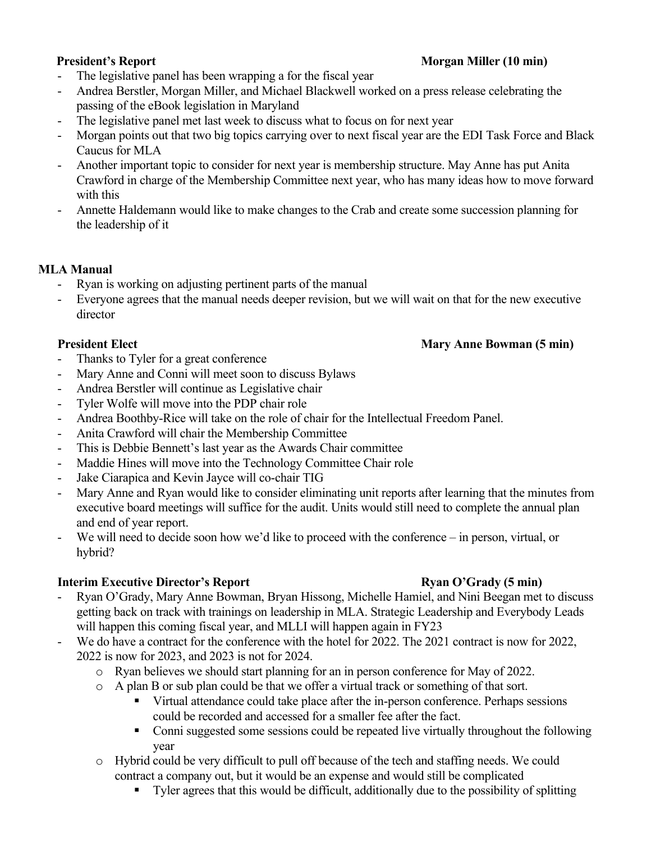- The legislative panel has been wrapping a for the fiscal year
- Andrea Berstler, Morgan Miller, and Michael Blackwell worked on a press release celebrating the passing of the eBook legislation in Maryland
- The legislative panel met last week to discuss what to focus on for next year
- Morgan points out that two big topics carrying over to next fiscal year are the EDI Task Force and Black Caucus for MLA
- Another important topic to consider for next year is membership structure. May Anne has put Anita Crawford in charge of the Membership Committee next year, who has many ideas how to move forward with this
- Annette Haldemann would like to make changes to the Crab and create some succession planning for the leadership of it

### **MLA Manual**

- Ryan is working on adjusting pertinent parts of the manual
- Everyone agrees that the manual needs deeper revision, but we will wait on that for the new executive director

- Thanks to Tyler for a great conference
- Mary Anne and Conni will meet soon to discuss Bylaws
- Andrea Berstler will continue as Legislative chair
- Tyler Wolfe will move into the PDP chair role
- Andrea Boothby-Rice will take on the role of chair for the Intellectual Freedom Panel.
- Anita Crawford will chair the Membership Committee
- This is Debbie Bennett's last year as the Awards Chair committee
- Maddie Hines will move into the Technology Committee Chair role
- Jake Ciarapica and Kevin Jayce will co-chair TIG
- Mary Anne and Ryan would like to consider eliminating unit reports after learning that the minutes from executive board meetings will suffice for the audit. Units would still need to complete the annual plan and end of year report.
- We will need to decide soon how we'd like to proceed with the conference in person, virtual, or hybrid?

### **Interim Executive Director's Report Ryan O'Grady (5 min)**

- Ryan O'Grady, Mary Anne Bowman, Bryan Hissong, Michelle Hamiel, and Nini Beegan met to discuss getting back on track with trainings on leadership in MLA. Strategic Leadership and Everybody Leads will happen this coming fiscal year, and MLLI will happen again in FY23
- We do have a contract for the conference with the hotel for 2022. The 2021 contract is now for 2022, 2022 is now for 2023, and 2023 is not for 2024.
	- o Ryan believes we should start planning for an in person conference for May of 2022.
	- o A plan B or sub plan could be that we offer a virtual track or something of that sort.
		- Virtual attendance could take place after the in-person conference. Perhaps sessions could be recorded and accessed for a smaller fee after the fact.
		- Conni suggested some sessions could be repeated live virtually throughout the following year
	- o Hybrid could be very difficult to pull off because of the tech and staffing needs. We could contract a company out, but it would be an expense and would still be complicated
		- Tyler agrees that this would be difficult, additionally due to the possibility of splitting

# **President Elect Mary Anne Bowman** (5 min)

### **President's Report Morgan Miller (10 min)**